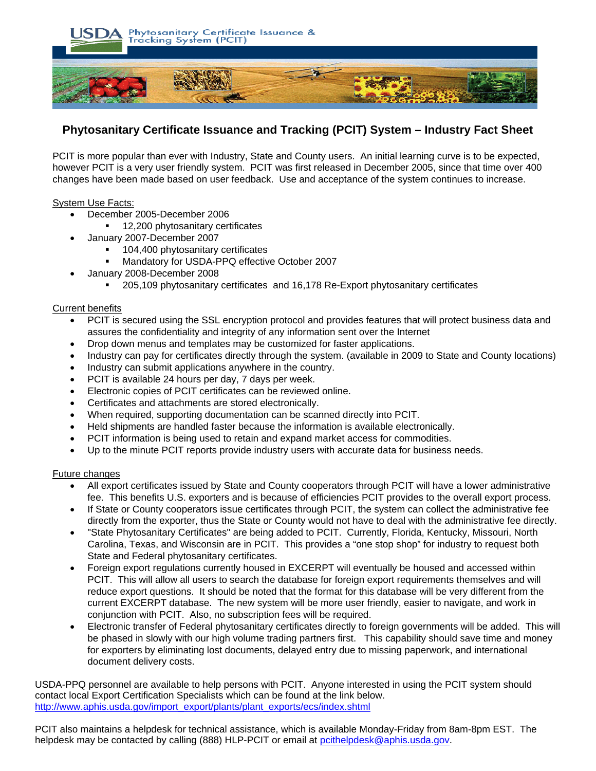

# **Phytosanitary Certificate Issuance and Tracking (PCIT) System – Industry Fact Sheet**

PCIT is more popular than ever with Industry, State and County users. An initial learning curve is to be expected, however PCIT is a very user friendly system. PCIT was first released in December 2005, since that time over 400 changes have been made based on user feedback. Use and acceptance of the system continues to increase.

## System Use Facts:

- December 2005-December 2006
	- **12,200 phytosanitary certificates**
- January 2007-December 2007
	- 104,400 phytosanitary certificates
	- Mandatory for USDA-PPQ effective October 2007
- January 2008-December 2008
	- 205,109 phytosanitary certificates and 16,178 Re-Export phytosanitary certificates

## Current benefits

- PCIT is secured using the SSL encryption protocol and provides features that will protect business data and assures the confidentiality and integrity of any information sent over the Internet
- Drop down menus and templates may be customized for faster applications.
- Industry can pay for certificates directly through the system. (available in 2009 to State and County locations)
- Industry can submit applications anywhere in the country.
- PCIT is available 24 hours per day, 7 days per week.
- Electronic copies of PCIT certificates can be reviewed online.
- Certificates and attachments are stored electronically.
- When required, supporting documentation can be scanned directly into PCIT.
- Held shipments are handled faster because the information is available electronically.
- PCIT information is being used to retain and expand market access for commodities.
- Up to the minute PCIT reports provide industry users with accurate data for business needs.

## Future changes

- All export certificates issued by State and County cooperators through PCIT will have a lower administrative fee. This benefits U.S. exporters and is because of efficiencies PCIT provides to the overall export process.
- If State or County cooperators issue certificates through PCIT, the system can collect the administrative fee directly from the exporter, thus the State or County would not have to deal with the administrative fee directly.
- "State Phytosanitary Certificates" are being added to PCIT. Currently, Florida, Kentucky, Missouri, North Carolina, Texas, and Wisconsin are in PCIT. This provides a "one stop shop" for industry to request both State and Federal phytosanitary certificates.
- Foreign export regulations currently housed in EXCERPT will eventually be housed and accessed within PCIT. This will allow all users to search the database for foreign export requirements themselves and will reduce export questions. It should be noted that the format for this database will be very different from the current EXCERPT database. The new system will be more user friendly, easier to navigate, and work in conjunction with PCIT. Also, no subscription fees will be required.
- Electronic transfer of Federal phytosanitary certificates directly to foreign governments will be added. This will be phased in slowly with our high volume trading partners first. This capability should save time and money for exporters by eliminating lost documents, delayed entry due to missing paperwork, and international document delivery costs.

USDA-PPQ personnel are available to help persons with PCIT. Anyone interested in using the PCIT system should contact local Export Certification Specialists which can be found at the link below. http://www.aphis.usda.gov/import\_export/plants/plant\_exports/ecs/index.shtml

PCIT also maintains a helpdesk for technical assistance, which is available Monday-Friday from 8am-8pm EST. The helpdesk may be contacted by calling (888) HLP-PCIT or email at pcithelpdesk@aphis.usda.gov.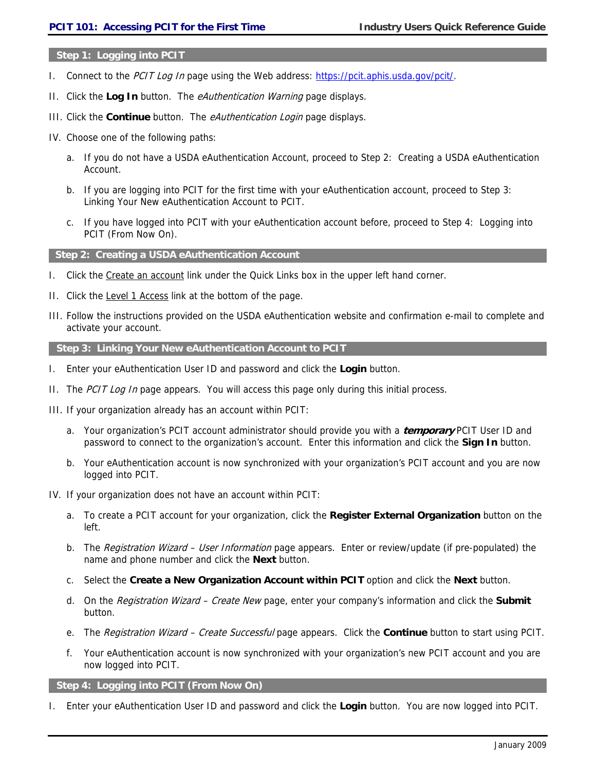#### **Step 1: Logging into PCIT**

- I. Connect to the PCIT Log In page using the Web address: https://pcit.aphis.usda.gov/pcit/.
- II. Click the **Log In** button. The eAuthentication Warning page displays.
- III. Click the **Continue** button. The eAuthentication Login page displays.
- IV. Choose one of the following paths:
	- a. If you do not have a USDA eAuthentication Account, proceed to Step 2: Creating a USDA eAuthentication Account.
	- b. If you are logging into PCIT for the first time with your eAuthentication account, proceed to Step 3: Linking Your New eAuthentication Account to PCIT.
	- c. If you have logged into PCIT with your eAuthentication account before, proceed to Step 4: Logging into PCIT (From Now On).

**Step 2: Creating a USDA eAuthentication Account** 

- I. Click the Create an account link under the Quick Links box in the upper left hand corner.
- II. Click the Level 1 Access link at the bottom of the page.
- III. Follow the instructions provided on the USDA eAuthentication website and confirmation e-mail to complete and activate your account.

#### **Step 3: Linking Your New eAuthentication Account to PCIT**

- I. Enter your eAuthentication User ID and password and click the **Login** button.
- II. The PCIT Log In page appears. You will access this page only during this initial process.
- III. If your organization already has an account within PCIT:
	- a. Your organization's PCIT account administrator should provide you with a **temporary** PCIT User ID and password to connect to the organization's account. Enter this information and click the **Sign In** button.
	- b. Your eAuthentication account is now synchronized with your organization's PCIT account and you are now logged into PCIT.
- IV. If your organization does not have an account within PCIT:
	- a. To create a PCIT account for your organization, click the **Register External Organization** button on the left.
	- b. The Registration Wizard User Information page appears. Enter or review/update (if pre-populated) the name and phone number and click the **Next** button.
	- c. Select the **Create a New Organization Account within PCIT** option and click the **Next** button.
	- d. On the Registration Wizard Create New page, enter your company's information and click the **Submit** button.
	- e. The Registration Wizard Create Successful page appears. Click the **Continue** button to start using PCIT.
	- f. Your eAuthentication account is now synchronized with your organization's new PCIT account and you are now logged into PCIT.

## **Step 4: Logging into PCIT (From Now On)**

I. Enter your eAuthentication User ID and password and click the **Login** button. You are now logged into PCIT.